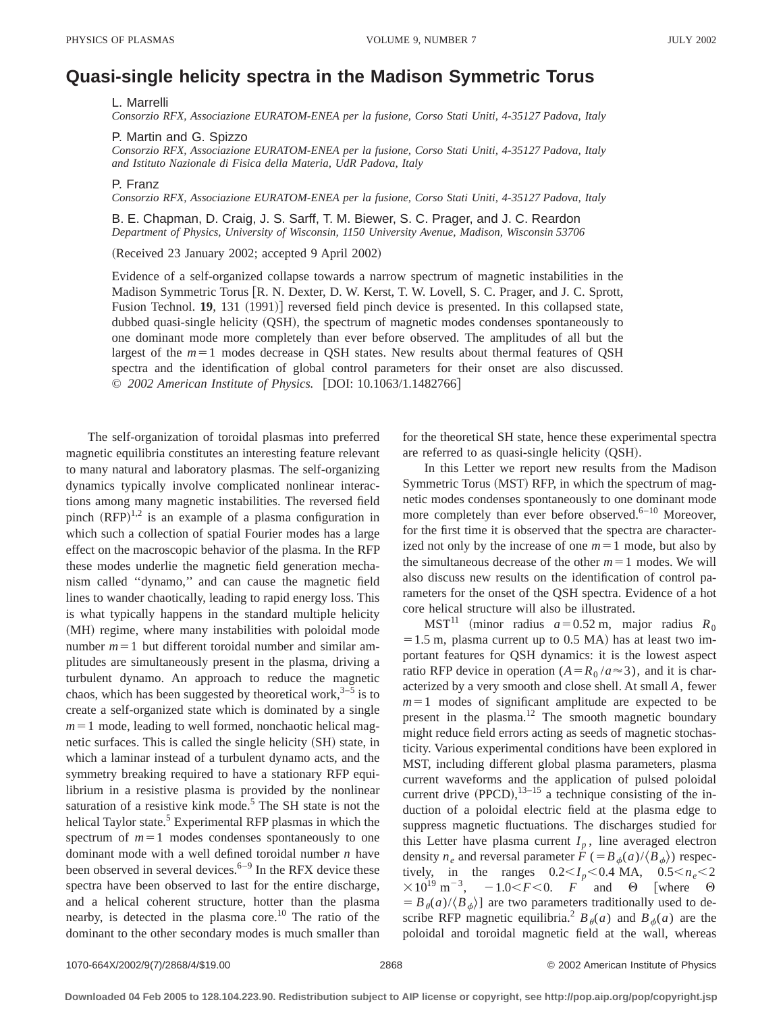## **Quasi-single helicity spectra in the Madison Symmetric Torus**

L. Marrelli

*Consorzio RFX, Associazione EURATOM-ENEA per la fusione, Corso Stati Uniti, 4-35127 Padova, Italy*

P. Martin and G. Spizzo

*Consorzio RFX, Associazione EURATOM-ENEA per la fusione, Corso Stati Uniti, 4-35127 Padova, Italy and Istituto Nazionale di Fisica della Materia, UdR Padova, Italy*

P. Franz

*Consorzio RFX, Associazione EURATOM-ENEA per la fusione, Corso Stati Uniti, 4-35127 Padova, Italy*

B. E. Chapman, D. Craig, J. S. Sarff, T. M. Biewer, S. C. Prager, and J. C. Reardon *Department of Physics, University of Wisconsin, 1150 University Avenue, Madison, Wisconsin 53706*

(Received 23 January 2002; accepted 9 April 2002)

Evidence of a self-organized collapse towards a narrow spectrum of magnetic instabilities in the Madison Symmetric Torus [R. N. Dexter, D. W. Kerst, T. W. Lovell, S. C. Prager, and J. C. Sprott, Fusion Technol. **19**, 131 (1991)] reversed field pinch device is presented. In this collapsed state, dubbed quasi-single helicity (QSH), the spectrum of magnetic modes condenses spontaneously to one dominant mode more completely than ever before observed. The amplitudes of all but the largest of the  $m=1$  modes decrease in QSH states. New results about thermal features of QSH spectra and the identification of global control parameters for their onset are also discussed. © 2002 American Institute of Physics. [DOI: 10.1063/1.1482766]

The self-organization of toroidal plasmas into preferred magnetic equilibria constitutes an interesting feature relevant to many natural and laboratory plasmas. The self-organizing dynamics typically involve complicated nonlinear interactions among many magnetic instabilities. The reversed field pinch  $(RFP)^{1,2}$  is an example of a plasma configuration in which such a collection of spatial Fourier modes has a large effect on the macroscopic behavior of the plasma. In the RFP these modes underlie the magnetic field generation mechanism called ''dynamo,'' and can cause the magnetic field lines to wander chaotically, leading to rapid energy loss. This is what typically happens in the standard multiple helicity (MH) regime, where many instabilities with poloidal mode number  $m=1$  but different toroidal number and similar amplitudes are simultaneously present in the plasma, driving a turbulent dynamo. An approach to reduce the magnetic chaos, which has been suggested by theoretical work,  $3-5$  is to create a self-organized state which is dominated by a single  $m=1$  mode, leading to well formed, nonchaotic helical magnetic surfaces. This is called the single helicity (SH) state, in which a laminar instead of a turbulent dynamo acts, and the symmetry breaking required to have a stationary RFP equilibrium in a resistive plasma is provided by the nonlinear saturation of a resistive kink mode.<sup>5</sup> The SH state is not the helical Taylor state.<sup>5</sup> Experimental RFP plasmas in which the spectrum of  $m=1$  modes condenses spontaneously to one dominant mode with a well defined toroidal number *n* have been observed in several devices. $6-9$  In the RFX device these spectra have been observed to last for the entire discharge, and a helical coherent structure, hotter than the plasma nearby, is detected in the plasma core.<sup>10</sup> The ratio of the dominant to the other secondary modes is much smaller than

for the theoretical SH state, hence these experimental spectra are referred to as quasi-single helicity  $(QSH)$ .

In this Letter we report new results from the Madison Symmetric Torus (MST) RFP, in which the spectrum of magnetic modes condenses spontaneously to one dominant mode more completely than ever before observed. $6-10$  Moreover, for the first time it is observed that the spectra are characterized not only by the increase of one  $m=1$  mode, but also by the simultaneous decrease of the other  $m=1$  modes. We will also discuss new results on the identification of control parameters for the onset of the QSH spectra. Evidence of a hot core helical structure will also be illustrated.

 $MST<sup>11</sup>$  (minor radius  $a=0.52$  m, major radius  $R_0$  $=1.5$  m, plasma current up to 0.5 MA) has at least two important features for QSH dynamics: it is the lowest aspect ratio RFP device in operation  $(A=R_0/a\approx 3)$ , and it is characterized by a very smooth and close shell. At small *A*, fewer  $m=1$  modes of significant amplitude are expected to be present in the plasma. $12$  The smooth magnetic boundary might reduce field errors acting as seeds of magnetic stochasticity. Various experimental conditions have been explored in MST, including different global plasma parameters, plasma current waveforms and the application of pulsed poloidal current drive  $(PPCD)$ ,  $^{13-15}$  a technique consisting of the induction of a poloidal electric field at the plasma edge to suppress magnetic fluctuations. The discharges studied for this Letter have plasma current  $I_p$ , line averaged electron density  $n_e$  and reversal parameter  $\hat{F}$  (=  $B_{\phi}(a)/\langle B_{\phi}\rangle$ ) respectively, in the ranges  $0.2 < I_p < 0.4$  MA,  $0.5 < n_e < 2$  $\times 10^{19}$  m<sup>-3</sup>, -1.0 F Co. *F* and  $\Theta$  [where  $\Theta$  $= B_\theta(a)/\langle B_\phi \rangle$  are two parameters traditionally used to describe RFP magnetic equilibria.<sup>2</sup>  $B_{\theta}(a)$  and  $B_{\phi}(a)$  are the poloidal and toroidal magnetic field at the wall, whereas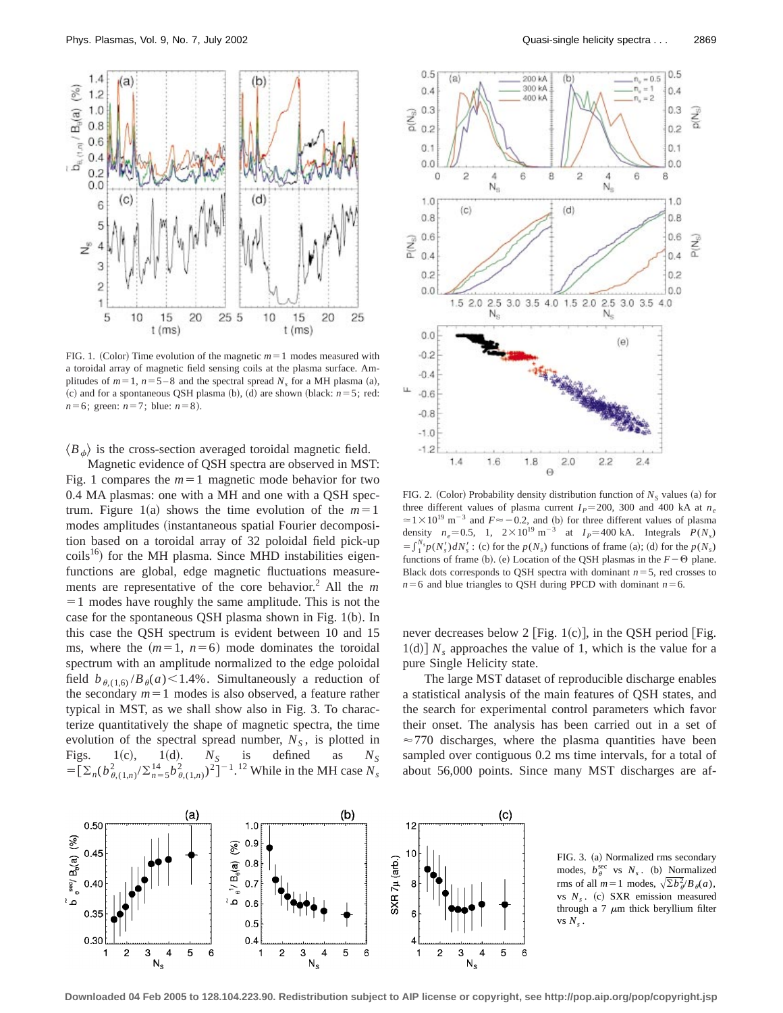

FIG. 1. (Color) Time evolution of the magnetic  $m=1$  modes measured with a toroidal array of magnetic field sensing coils at the plasma surface. Amplitudes of  $m=1$ ,  $n=5-8$  and the spectral spread  $N_s$  for a MH plasma (a), (c) and for a spontaneous QSH plasma (b), (d) are shown (black:  $n=5$ ; red: *n*=6; green: *n*=7; blue: *n*=8).

 $\langle B_{\phi} \rangle$  is the cross-section averaged toroidal magnetic field.

Magnetic evidence of QSH spectra are observed in MST: Fig. 1 compares the  $m=1$  magnetic mode behavior for two 0.4 MA plasmas: one with a MH and one with a QSH spectrum. Figure 1(a) shows the time evolution of the  $m=1$ modes amplitudes (instantaneous spatial Fourier decomposition based on a toroidal array of 32 poloidal field pick-up  $\text{coils}^{16}$ ) for the MH plasma. Since MHD instabilities eigenfunctions are global, edge magnetic fluctuations measurements are representative of the core behavior.<sup>2</sup> All the *m*  $=1$  modes have roughly the same amplitude. This is not the case for the spontaneous QSH plasma shown in Fig. 1(b). In this case the QSH spectrum is evident between 10 and 15 ms, where the  $(m=1, n=6)$  mode dominates the toroidal spectrum with an amplitude normalized to the edge poloidal field  $b_{\theta,(1,6)}/B_{\theta}(a)$  < 1.4%. Simultaneously a reduction of the secondary  $m=1$  modes is also observed, a feature rather typical in MST, as we shall show also in Fig. 3. To characterize quantitatively the shape of magnetic spectra, the time evolution of the spectral spread number,  $N_S$ , is plotted in Figs. 1(c), 1(d).  $N_S$  is defined as  $N_S$  $= [\sum_n (b_{\theta,(1,n)}^2 / \sum_{n=5}^{14} b_{\theta,(1,n)}^2)^2]^{-1}$ .<sup>12</sup> While in the MH case  $N_s$ 



FIG. 2. (Color) Probability density distribution function of  $N<sub>S</sub>$  values (a) for three different values of plasma current  $I_p \approx 200$ , 300 and 400 kA at  $n_e$  $\approx$  1 × 10<sup>19</sup> m<sup>-3</sup> and *F* $\approx$  -0.2, and (b) for three different values of plasma density  $n_e \approx 0.5$ , 1,  $2 \times 10^{19}$  m<sup>-3</sup> at  $I_p \approx 400$  kA. Integrals  $P(N_s)$  $=\int_{1}^{N_s} p(N'_s) dN'_s$ : (c) for the  $p(N_s)$  functions of frame (a); (d) for the  $p(N_s)$ functions of frame (b). (e) Location of the QSH plasmas in the  $F-\Theta$  plane. Black dots corresponds to QSH spectra with dominant  $n=5$ , red crosses to  $n=6$  and blue triangles to QSH during PPCD with dominant  $n=6$ .

never decreases below 2 [Fig. 1(c)], in the QSH period [Fig. 1(d)]  $N_s$  approaches the value of 1, which is the value for a pure Single Helicity state.

The large MST dataset of reproducible discharge enables a statistical analysis of the main features of QSH states, and the search for experimental control parameters which favor their onset. The analysis has been carried out in a set of  $\approx$  770 discharges, where the plasma quantities have been sampled over contiguous 0.2 ms time intervals, for a total of about 56,000 points. Since many MST discharges are af-



FIG. 3. (a) Normalized rms secondary modes,  $b_{\theta}^{\text{sec}}$  vs  $N_s$ . (b) Normalized rms of all  $m=1$  modes,  $\sqrt{\sum b_{\theta}^2} / B_{\theta}(a)$ , vs  $N_s$ . (c) SXR emission measured through a 7  $\mu$ m thick beryllium filter vs  $N_s$ .

**Downloaded 04 Feb 2005 to 128.104.223.90. Redistribution subject to AIP license or copyright, see http://pop.aip.org/pop/copyright.jsp**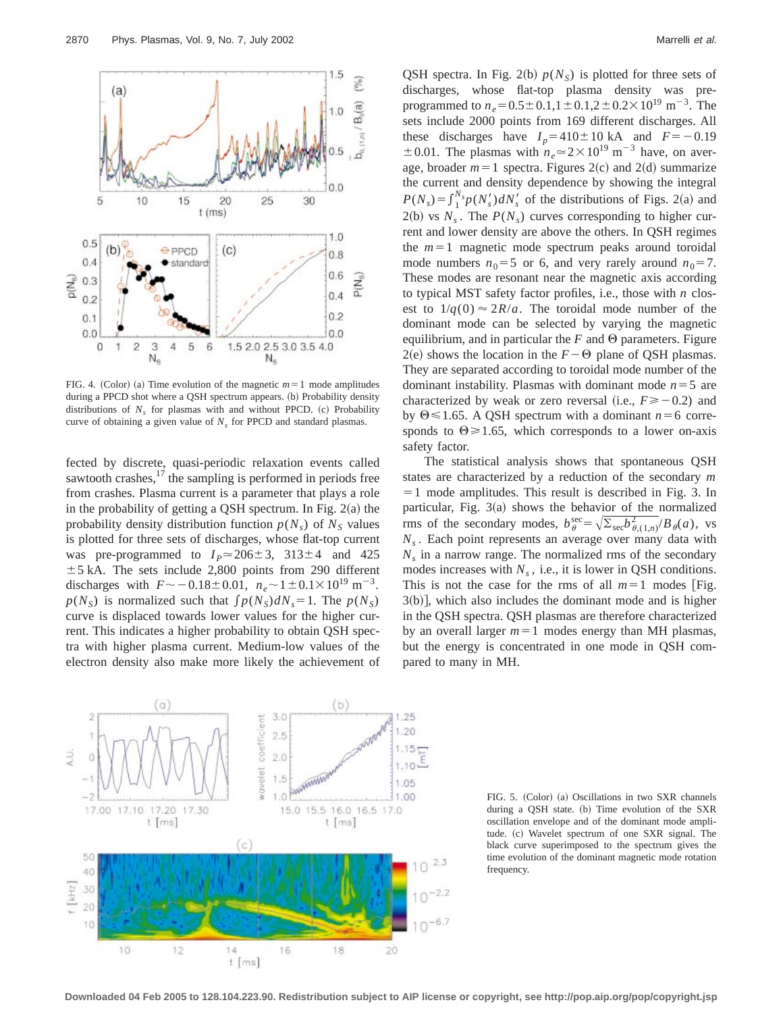

FIG. 4. (Color) (a) Time evolution of the magnetic  $m=1$  mode amplitudes during a PPCD shot where a QSH spectrum appears. (b) Probability density distributions of  $N<sub>s</sub>$  for plasmas with and without PPCD. (c) Probability curve of obtaining a given value of  $N<sub>s</sub>$  for PPCD and standard plasmas.

fected by discrete, quasi-periodic relaxation events called sawtooth crashes, $17$  the sampling is performed in periods free from crashes. Plasma current is a parameter that plays a role in the probability of getting a QSH spectrum. In Fig.  $2(a)$  the probability density distribution function  $p(N<sub>s</sub>)$  of  $N<sub>S</sub>$  values is plotted for three sets of discharges, whose flat-top current was pre-programmed to  $I_p \approx 206 \pm 3$ ,  $313 \pm 4$  and 425  $\pm$  5 kA. The sets include 2,800 points from 290 different discharges with  $F \sim -0.18 \pm 0.01$ ,  $n_e \sim 1 \pm 0.1 \times 10^{19}$  m<sup>-3</sup>.  $p(N<sub>S</sub>)$  is normalized such that  $\int p(N<sub>S</sub>)dN<sub>s</sub>=1$ . The  $p(N<sub>S</sub>)$ curve is displaced towards lower values for the higher current. This indicates a higher probability to obtain QSH spectra with higher plasma current. Medium-low values of the electron density also make more likely the achievement of



QSH spectra. In Fig. 2(b)  $p(N<sub>S</sub>)$  is plotted for three sets of discharges, whose flat-top plasma density was preprogrammed to  $n_e$  = 0.5 ± 0.1,1 ± 0.1,2 ± 0.2 × 10<sup>19</sup> m<sup>-3</sup>. The sets include 2000 points from 169 different discharges. All these discharges have  $I_p = 410 \pm 10$  kA and  $F = -0.19$  $\pm 0.01$ . The plasmas with  $n_e \approx 2 \times 10^{19}$  m<sup>-3</sup> have, on average, broader  $m=1$  spectra. Figures 2(c) and 2(d) summarize the current and density dependence by showing the integral  $P(N_s) = \int_{1}^{N_s} p(N_s) dN_s$  of the distributions of Figs. 2(a) and  $2(b)$  vs  $N_s$ . The  $P(N_s)$  curves corresponding to higher current and lower density are above the others. In QSH regimes the  $m=1$  magnetic mode spectrum peaks around toroidal mode numbers  $n_0 = 5$  or 6, and very rarely around  $n_0 = 7$ . These modes are resonant near the magnetic axis according to typical MST safety factor profiles, i.e., those with *n* closest to  $1/q(0) \approx 2R/a$ . The toroidal mode number of the dominant mode can be selected by varying the magnetic equilibrium, and in particular the  $F$  and  $\Theta$  parameters. Figure  $2(e)$  shows the location in the  $F-\Theta$  plane of QSH plasmas. They are separated according to toroidal mode number of the dominant instability. Plasmas with dominant mode  $n=5$  are characterized by weak or zero reversal (i.e.,  $F \ge -0.2$ ) and by  $\Theta \le 1.65$ . A QSH spectrum with a dominant  $n = 6$  corresponds to  $\Theta \ge 1.65$ , which corresponds to a lower on-axis safety factor.

The statistical analysis shows that spontaneous QSH states are characterized by a reduction of the secondary *m*  $=$  1 mode amplitudes. This result is described in Fig. 3. In particular, Fig.  $3(a)$  shows the behavior of the normalized rms of the secondary modes,  $b_{\theta}^{\text{sec}} = \sqrt{\sum_{\text{sec}}b_{\theta,(1,n)}^2}/B_{\theta}(a)$ , vs *Ns* . Each point represents an average over many data with  $N<sub>s</sub>$  in a narrow range. The normalized rms of the secondary modes increases with  $N_s$ , i.e., it is lower in QSH conditions. This is not the case for the rms of all  $m=1$  modes [Fig.  $3(b)$ , which also includes the dominant mode and is higher in the QSH spectra. QSH plasmas are therefore characterized by an overall larger  $m=1$  modes energy than MH plasmas, but the energy is concentrated in one mode in QSH compared to many in MH.

FIG. 5. (Color) (a) Oscillations in two SXR channels during a QSH state. (b) Time evolution of the SXR oscillation envelope and of the dominant mode amplitude. (c) Wavelet spectrum of one SXR signal. The black curve superimposed to the spectrum gives the time evolution of the dominant magnetic mode rotation frequency.

**Downloaded 04 Feb 2005 to 128.104.223.90. Redistribution subject to AIP license or copyright, see http://pop.aip.org/pop/copyright.jsp**